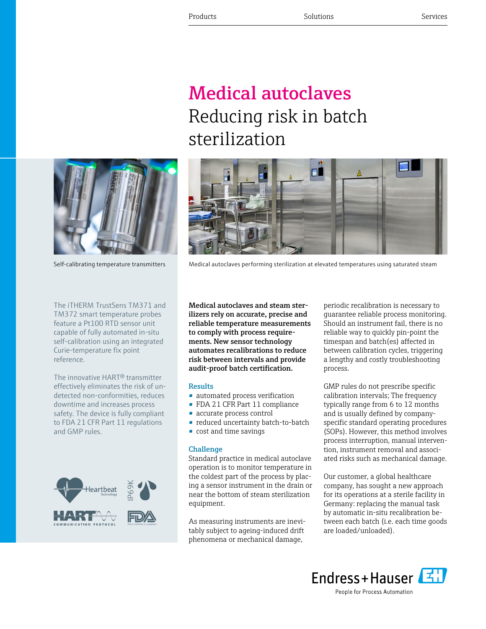# Medical autoclaves Reducing risk in batch sterilization



Self-calibrating temperature transmitters Medical autoclaves performing sterilization at elevated temperatures using saturated steam



The iTHERM TrustSens TM371 and TM372 smart temperature probes feature a Pt100 RTD sensor unit capable of fully automated in-situ self-calibration using an integrated Curie-temperature fix point reference.

The innovative HART® transmitter effectively eliminates the risk of undetected non-conformities, reduces downtime and increases process safety. The device is fully compliant to FDA 21 CFR Part 11 regulations and GMP rules.



Medical autoclaves and steam sterilizers rely on accurate, precise and reliable temperature measurements to comply with process requirements. New sensor technology automates recalibrations to reduce risk between intervals and provide audit-proof batch certification.

#### **Results**

- automated process verification
- FDA 21 CFR Part 11 compliance
- accurate process control
- reduced uncertainty batch-to-batch
- cost and time savings

#### **Challenge**

Standard practice in medical autoclave operation is to monitor temperature in the coldest part of the process by placing a sensor instrument in the drain or near the bottom of steam sterilization equipment.

As measuring instruments are inevitably subject to ageing-induced drift phenomena or mechanical damage,

periodic recalibration is necessary to guarantee reliable process monitoring. Should an instrument fail, there is no reliable way to quickly pin-point the timespan and batch(es) affected in between calibration cycles, triggering a lengthy and costly troubleshooting process.

GMP rules do not prescribe specific calibration intervals; The frequency typically range from 6 to 12 months and is usually defined by companyspecific standard operating procedures (SOPs). However, this method involves process interruption, manual intervention, instrument removal and associated risks such as mechanical damage.

Our customer, a global healthcare company, has sought a new approach for its operations at a sterile facility in Germany: replacing the manual task by automatic in-situ recalibration between each batch (i.e. each time goods are loaded/unloaded).



People for Process Automation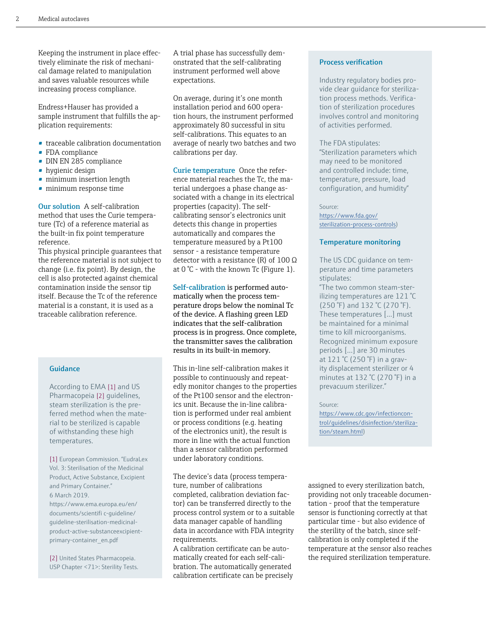Keeping the instrument in place effectively eliminate the risk of mechanical damage related to manipulation and saves valuable resources while increasing process compliance.

Endress+Hauser has provided a sample instrument that fulfills the application requirements:

- traceable calibration documentation
- FDA compliance
- DIN EN 285 compliance
- hygienic design
- minimum insertion length
- minimum response time

Our solution A self-calibration method that uses the Curie temperature (Tc) of a reference material as the built-in fix point temperature reference.

This physical principle guarantees that the reference material is not subject to change (i.e. fix point). By design, the cell is also protected against chemical contamination inside the sensor tip itself. Because the Tc of the reference material is a constant, it is used as a traceable calibration reference.

#### Guidance

According to EMA [1] and US Pharmacopeia [2] guidelines, steam sterilization is the preferred method when the material to be sterilized is capable of withstanding these high temperatures.

[1] European Commission. "EudraLex Vol. 3: Sterilisation of the Medicinal Product, Active Substance, Excipient and Primary Container." 6 March 2019. https://www.ema.europa.eu/en/ documents/scientifi c-guideline/ guideline-sterilisation-medicinalproduct-active-substanceexcipientprimary-container\_en.pdf

[2] United States Pharmacopeia. USP Chapter <71>: Sterility Tests. A trial phase has successfully demonstrated that the self-calibrating instrument performed well above expectations.

On average, during it's one month installation period and 600 operation hours, the instrument performed approximately 80 successful in situ self-calibrations. This equates to an average of nearly two batches and two calibrations per day.

Curie temperature Once the reference material reaches the Tc, the material undergoes a phase change associated with a change in its electrical properties (capacity). The selfcalibrating sensor's electronics unit detects this change in properties automatically and compares the temperature measured by a Pt100 sensor - a resistance temperature detector with a resistance (R) of  $100 \Omega$ at 0 °C - with the known Tc (Figure 1).

Self-calibration is performed automatically when the process temperature drops below the nominal Tc of the device. A flashing green LED indicates that the self-calibration process is in progress. Once complete, the transmitter saves the calibration results in its built-in memory.

This in-line self-calibration makes it possible to continuously and repeatedly monitor changes to the properties of the Pt100 sensor and the electronics unit. Because the in-line calibration is performed under real ambient or process conditions (e.g. heating of the electronics unit), the result is more in line with the actual function than a sensor calibration performed under laboratory conditions.

The device's data (process temperature, number of calibrations completed, calibration deviation factor) can be transferred directly to the process control system or to a suitable data manager capable of handling data in accordance with FDA integrity requirements.

A calibration certificate can be automatically created for each self-calibration. The automatically generated calibration certificate can be precisely

#### Process verification

Industry regulatory bodies provide clear guidance for sterilization process methods. Verification of sterilization procedures involves control and monitoring of activities performed.

The FDA stipulates: "Sterilization parameters which may need to be monitored and controlled include: time, temperature, pressure, load configuration, and humidity"

Source:

[https://www.fda.gov/](https://www.fda.gov/sterilization-process-controls) [sterilization-process-controls\)](https://www.fda.gov/sterilization-process-controls)

#### Temperature monitoring

The US CDC guidance on temperature and time parameters stipulates:

"The two common steam-sterilizing temperatures are 121 °C (250 °F) and 132 °C (270 °F). These temperatures [...] must be maintained for a minimal time to kill microorganisms. Recognized minimum exposure periods [...] are 30 minutes at 121 °C (250 °F) in a gravity displacement sterilizer or 4 minutes at 132 °C (270 °F) in a prevacuum sterilizer."

#### Source:

[https://www.cdc.gov/infectioncon](https://www.cdc.gov/infectioncontrol/guidelines/disinfection/sterilization/steam.html)[trol/guidelines/disinfection/steriliza](https://www.cdc.gov/infectioncontrol/guidelines/disinfection/sterilization/steam.html)[tion/steam.html](https://www.cdc.gov/infectioncontrol/guidelines/disinfection/sterilization/steam.html))

assigned to every sterilization batch, providing not only traceable documentation - proof that the temperature sensor is functioning correctly at that particular time - but also evidence of the sterility of the batch, since selfcalibration is only completed if the temperature at the sensor also reaches the required sterilization temperature.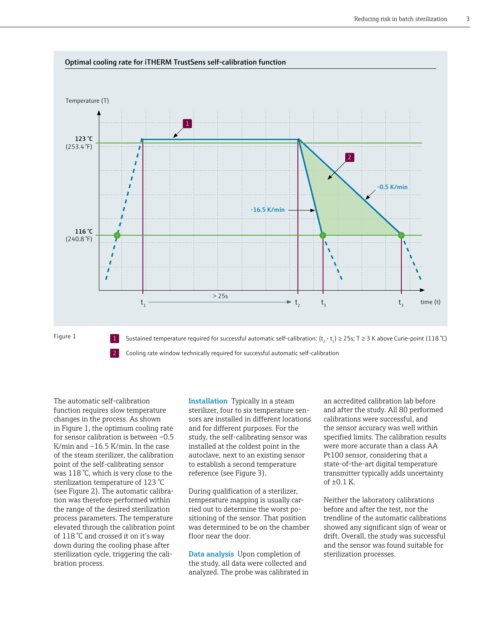

The automatic self-calibration function requires slow temperature changes in the process. As shown in Figure 1, the optimum cooling rate for sensor calibration is between –0.5 K/min and –16.5 K/min. In the case of the steam sterilizer, the calibration point of the self-calibrating sensor was 118 °C, which is very close to the sterilization temperature of 123 °C (see Figure 2). The automatic calibration was therefore performed within the range of the desired sterilization process parameters. The temperature elevated through the calibration point of 118 °C and crossed it on it's way down during the cooling phase after sterilization cycle, triggering the calibration process.

Installation Typically in a steam sterilizer, four to six temperature sensors are installed in different locations and for different purposes. For the study, the self-calibrating sensor was installed at the coldest point in the autoclave, next to an existing sensor to establish a second temperature reference (see Figure 3).

During qualification of a sterilizer, temperature mapping is usually carried out to determine the worst positioning of the sensor. That position was determined to be on the chamber floor near the door.

Data analysis Upon completion of the study, all data were collected and analyzed. The probe was calibrated in

an accredited calibration lab before and after the study. All 80 performed calibrations were successful, and the sensor accuracy was well within specified limits. The calibration results were more accurate than a class AA Pt100 sensor, considering that a state-of-the-art digital temperature transmitter typically adds uncertainty of  $\pm 0.1$  K.

Neither the laboratory calibrations before and after the test, nor the trendline of the automatic calibrations showed any significant sign of wear or drift. Overall, the study was successful and the sensor was found suitable for sterilization processes.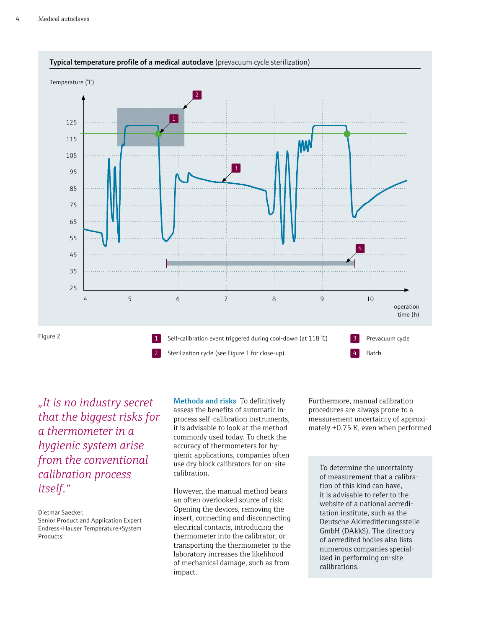

*"It is no industry secret that the biggest risks for a thermometer in a hygienic system arise from the conventional calibration process itself."*

Dietmar Saecker, Senior Product and Application Expert Endress+Hauser Temperature+System Products

Methods and risks To definitively assess the benefits of automatic inprocess self-calibration instruments, it is advisable to look at the method commonly used today. To check the accuracy of thermometers for hygienic applications, companies often use dry block calibrators for on-site calibration.

However, the manual method bears an often overlooked source of risk: Opening the devices, removing the insert, connecting and disconnecting electrical contacts, introducing the thermometer into the calibrator, or transporting the thermometer to the laboratory increases the likelihood of mechanical damage, such as from impact.

Furthermore, manual calibration procedures are always prone to a measurement uncertainty of approximately ±0.75 K, even when performed

To determine the uncertainty of measurement that a calibration of this kind can have, it is advisable to refer to the website of a national accreditation institute, such as the Deutsche Akkreditierungsstelle GmbH (DAkkS). The directory of accredited bodies also lists numerous companies specialized in performing on-site calibrations.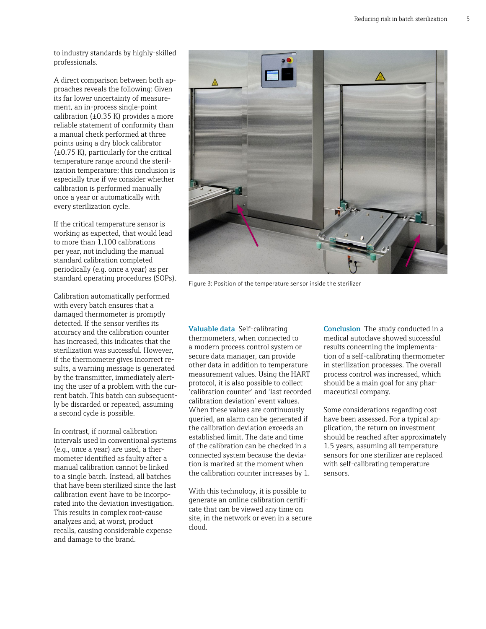to industry standards by highly-skilled professionals.

A direct comparison between both approaches reveals the following: Given its far lower uncertainty of measurement, an in-process single-point calibration ( $\pm$ 0.35 K) provides a more reliable statement of conformity than a manual check performed at three points using a dry block calibrator (±0.75 K), particularly for the critical temperature range around the sterilization temperature; this conclusion is especially true if we consider whether calibration is performed manually once a year or automatically with every sterilization cycle.

If the critical temperature sensor is working as expected, that would lead to more than 1,100 calibrations per year, not including the manual standard calibration completed periodically (e.g. once a year) as per standard operating procedures (SOPs).

Calibration automatically performed with every batch ensures that a damaged thermometer is promptly detected. If the sensor verifies its accuracy and the calibration counter has increased, this indicates that the sterilization was successful. However, if the thermometer gives incorrect results, a warning message is generated by the transmitter, immediately alerting the user of a problem with the current batch. This batch can subsequently be discarded or repeated, assuming a second cycle is possible.

In contrast, if normal calibration intervals used in conventional systems (e.g., once a year) are used, a thermometer identified as faulty after a manual calibration cannot be linked to a single batch. Instead, all batches that have been sterilized since the last calibration event have to be incorporated into the deviation investigation. This results in complex root-cause analyzes and, at worst, product recalls, causing considerable expense and damage to the brand.



Figure 3: Position of the temperature sensor inside the sterilizer

Valuable data Self-calibrating thermometers, when connected to a modern process control system or secure data manager, can provide other data in addition to temperature measurement values. Using the HART protocol, it is also possible to collect 'calibration counter' and 'last recorded calibration deviation' event values. When these values are continuously queried, an alarm can be generated if the calibration deviation exceeds an established limit. The date and time of the calibration can be checked in a connected system because the deviation is marked at the moment when the calibration counter increases by 1.

With this technology, it is possible to generate an online calibration certificate that can be viewed any time on site, in the network or even in a secure cloud.

Conclusion The study conducted in a medical autoclave showed successful results concerning the implementation of a self-calibrating thermometer in sterilization processes. The overall process control was increased, which should be a main goal for any pharmaceutical company.

Some considerations regarding cost have been assessed. For a typical application, the return on investment should be reached after approximately 1.5 years, assuming all temperature sensors for one sterilizer are replaced with self-calibrating temperature sensors.